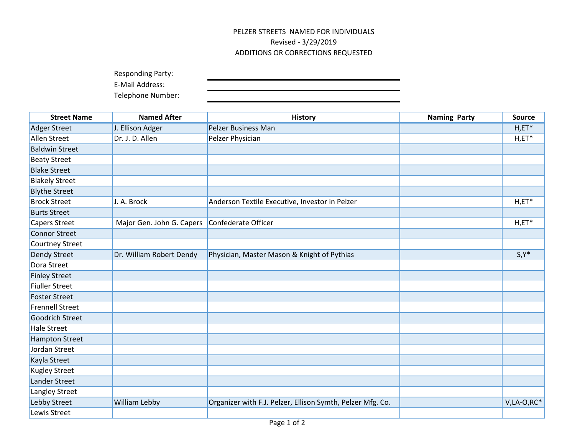## PELZER STREETS NAMED FOR INDIVIDUALS Revised - 3/29/2019 ADDITIONS OR CORRECTIONS REQUESTED

Responding Party:

E-Mail Address:

Telephone Number:

| <b>Street Name</b>     | <b>Named After</b>                              | <b>History</b>                                             | <b>Naming Party</b> | <b>Source</b>  |
|------------------------|-------------------------------------------------|------------------------------------------------------------|---------------------|----------------|
| <b>Adger Street</b>    | J. Ellison Adger                                | <b>Pelzer Business Man</b>                                 |                     | $H, ET^*$      |
| Allen Street           | Dr. J. D. Allen                                 | Pelzer Physician                                           |                     | $H, ET^*$      |
| <b>Baldwin Street</b>  |                                                 |                                                            |                     |                |
| <b>Beaty Street</b>    |                                                 |                                                            |                     |                |
| <b>Blake Street</b>    |                                                 |                                                            |                     |                |
| <b>Blakely Street</b>  |                                                 |                                                            |                     |                |
| <b>Blythe Street</b>   |                                                 |                                                            |                     |                |
| <b>Brock Street</b>    | J. A. Brock                                     | Anderson Textile Executive, Investor in Pelzer             |                     | $H, ET^*$      |
| <b>Burts Street</b>    |                                                 |                                                            |                     |                |
| <b>Capers Street</b>   | Major Gen. John G. Capers   Confederate Officer |                                                            |                     | $H, ET^*$      |
| <b>Connor Street</b>   |                                                 |                                                            |                     |                |
| <b>Courtney Street</b> |                                                 |                                                            |                     |                |
| Dendy Street           | Dr. William Robert Dendy                        | Physician, Master Mason & Knight of Pythias                |                     | $S, Y^*$       |
| Dora Street            |                                                 |                                                            |                     |                |
| <b>Finley Street</b>   |                                                 |                                                            |                     |                |
| <b>Fiuller Street</b>  |                                                 |                                                            |                     |                |
| <b>Foster Street</b>   |                                                 |                                                            |                     |                |
| <b>Frennell Street</b> |                                                 |                                                            |                     |                |
| Goodrich Street        |                                                 |                                                            |                     |                |
| <b>Hale Street</b>     |                                                 |                                                            |                     |                |
| <b>Hampton Street</b>  |                                                 |                                                            |                     |                |
| Jordan Street          |                                                 |                                                            |                     |                |
| Kayla Street           |                                                 |                                                            |                     |                |
| <b>Kugley Street</b>   |                                                 |                                                            |                     |                |
| Lander Street          |                                                 |                                                            |                     |                |
| Langley Street         |                                                 |                                                            |                     |                |
| Lebby Street           | William Lebby                                   | Organizer with F.J. Pelzer, Ellison Symth, Pelzer Mfg. Co. |                     | $V, LA-O, RC*$ |
| Lewis Street           |                                                 |                                                            |                     |                |